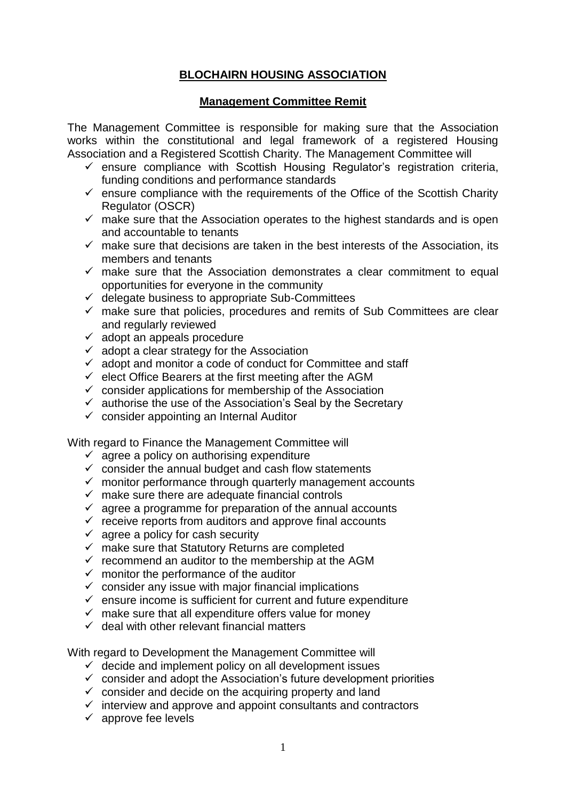## **BLOCHAIRN HOUSING ASSOCIATION**

## **Management Committee Remit**

The Management Committee is responsible for making sure that the Association works within the constitutional and legal framework of a registered Housing Association and a Registered Scottish Charity. The Management Committee will

- $\checkmark$  ensure compliance with Scottish Housing Regulator's registration criteria, funding conditions and performance standards
- $\checkmark$  ensure compliance with the requirements of the Office of the Scottish Charity Regulator (OSCR)
- $\checkmark$  make sure that the Association operates to the highest standards and is open and accountable to tenants
- $\checkmark$  make sure that decisions are taken in the best interests of the Association, its members and tenants
- $\checkmark$  make sure that the Association demonstrates a clear commitment to equal opportunities for everyone in the community
- $\checkmark$  delegate business to appropriate Sub-Committees
- $\checkmark$  make sure that policies, procedures and remits of Sub Committees are clear and regularly reviewed
- $\checkmark$  adopt an appeals procedure
- $\checkmark$  adopt a clear strategy for the Association
- $\checkmark$  adopt and monitor a code of conduct for Committee and staff
- $\checkmark$  elect Office Bearers at the first meeting after the AGM
- $\checkmark$  consider applications for membership of the Association
- $\checkmark$  authorise the use of the Association's Seal by the Secretary
- $\checkmark$  consider appointing an Internal Auditor

With regard to Finance the Management Committee will

- $\checkmark$  agree a policy on authorising expenditure
- $\checkmark$  consider the annual budget and cash flow statements
- $\checkmark$  monitor performance through quarterly management accounts
- $\checkmark$  make sure there are adequate financial controls
- $\checkmark$  agree a programme for preparation of the annual accounts
- $\checkmark$  receive reports from auditors and approve final accounts
- $\checkmark$  agree a policy for cash security
- $\checkmark$  make sure that Statutory Returns are completed
- $\checkmark$  recommend an auditor to the membership at the AGM
- $\checkmark$  monitor the performance of the auditor
- $\checkmark$  consider any issue with major financial implications
- $\checkmark$  ensure income is sufficient for current and future expenditure
- $\checkmark$  make sure that all expenditure offers value for money
- $\checkmark$  deal with other relevant financial matters

With regard to Development the Management Committee will

- $\checkmark$  decide and implement policy on all development issues
- consider and adopt the Association's future development priorities
- $\checkmark$  consider and decide on the acquiring property and land
- $\checkmark$  interview and approve and appoint consultants and contractors
- $\checkmark$  approve fee levels